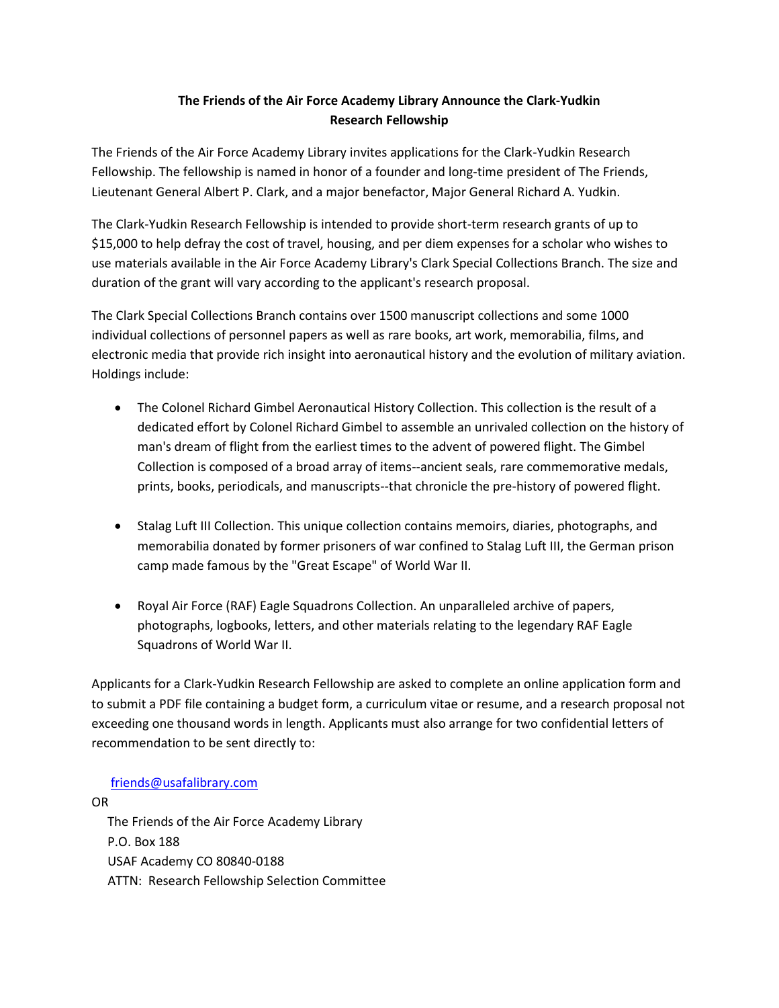## **The Friends of the Air Force Academy Library Announce the Clark-Yudkin Research Fellowship**

The Friends of the Air Force Academy Library invites applications for the Clark-Yudkin Research Fellowship. The fellowship is named in honor of a founder and long-time president of The Friends, Lieutenant General Albert P. Clark, and a major benefactor, Major General Richard A. Yudkin.

The Clark-Yudkin Research Fellowship is intended to provide short-term research grants of up to \$15,000 to help defray the cost of travel, housing, and per diem expenses for a scholar who wishes to use materials available in the Air Force Academy Library's Clark Special Collections Branch. The size and duration of the grant will vary according to the applicant's research proposal.

The Clark Special Collections Branch contains over 1500 manuscript collections and some 1000 individual collections of personnel papers as well as rare books, art work, memorabilia, films, and electronic media that provide rich insight into aeronautical history and the evolution of military aviation. Holdings include:

- The Colonel Richard Gimbel Aeronautical History Collection. This collection is the result of a dedicated effort by Colonel Richard Gimbel to assemble an unrivaled collection on the history of man's dream of flight from the earliest times to the advent of powered flight. The Gimbel Collection is composed of a broad array of items--ancient seals, rare commemorative medals, prints, books, periodicals, and manuscripts--that chronicle the pre-history of powered flight.
- Stalag Luft III Collection. This unique collection contains memoirs, diaries, photographs, and memorabilia donated by former prisoners of war confined to Stalag Luft III, the German prison camp made famous by the "Great Escape" of World War II.
- Royal Air Force (RAF) Eagle Squadrons Collection. An unparalleled archive of papers, photographs, logbooks, letters, and other materials relating to the legendary RAF Eagle Squadrons of World War II.

Applicants for a Clark-Yudkin Research Fellowship are asked to complete an online application form and to submit a PDF file containing a budget form, a curriculum vitae or resume, and a research proposal not exceeding one thousand words in length. Applicants must also arrange for two confidential letters of recommendation to be sent directly to:

## [friends@usafalibrary.com](mailto:friends@usafalibrary.com)

OR The Friends of the Air Force Academy Library P.O. Box 188 USAF Academy CO 80840-0188 ATTN: Research Fellowship Selection Committee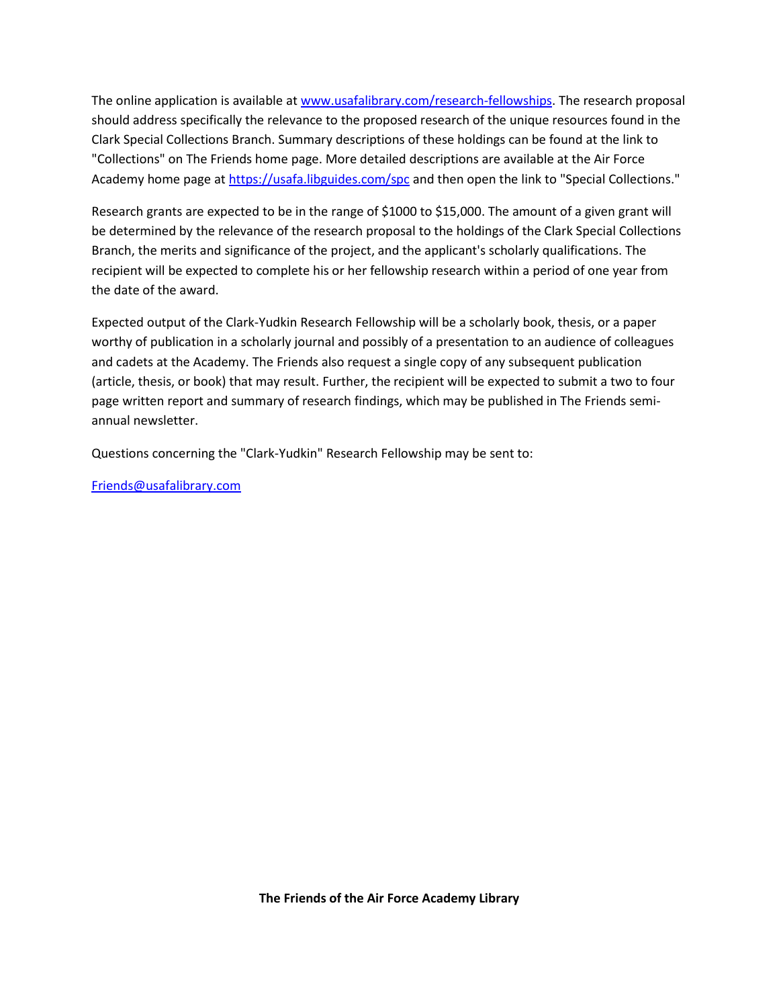The online application is available at [www.usafalibrary.com/research-fellowships.](http://www.usafalibrary.com/research-fellowships) The research proposal should address specifically the relevance to the proposed research of the unique resources found in the Clark Special Collections Branch. Summary descriptions of these holdings can be found at the link to "Collections" on The Friends home page. More detailed descriptions are available at the Air Force Academy home page at <https://usafa.libguides.com/spc> and then open the link to "Special Collections."

Research grants are expected to be in the range of \$1000 to \$15,000. The amount of a given grant will be determined by the relevance of the research proposal to the holdings of the Clark Special Collections Branch, the merits and significance of the project, and the applicant's scholarly qualifications. The recipient will be expected to complete his or her fellowship research within a period of one year from the date of the award.

Expected output of the Clark-Yudkin Research Fellowship will be a scholarly book, thesis, or a paper worthy of publication in a scholarly journal and possibly of a presentation to an audience of colleagues and cadets at the Academy. The Friends also request a single copy of any subsequent publication (article, thesis, or book) that may result. Further, the recipient will be expected to submit a two to four page written report and summary of research findings, which may be published in The Friends semiannual newsletter.

Questions concerning the "Clark-Yudkin" Research Fellowship may be sent to:

[Friends@usafalibrary.com](mailto:Friends@usafalibrary.com)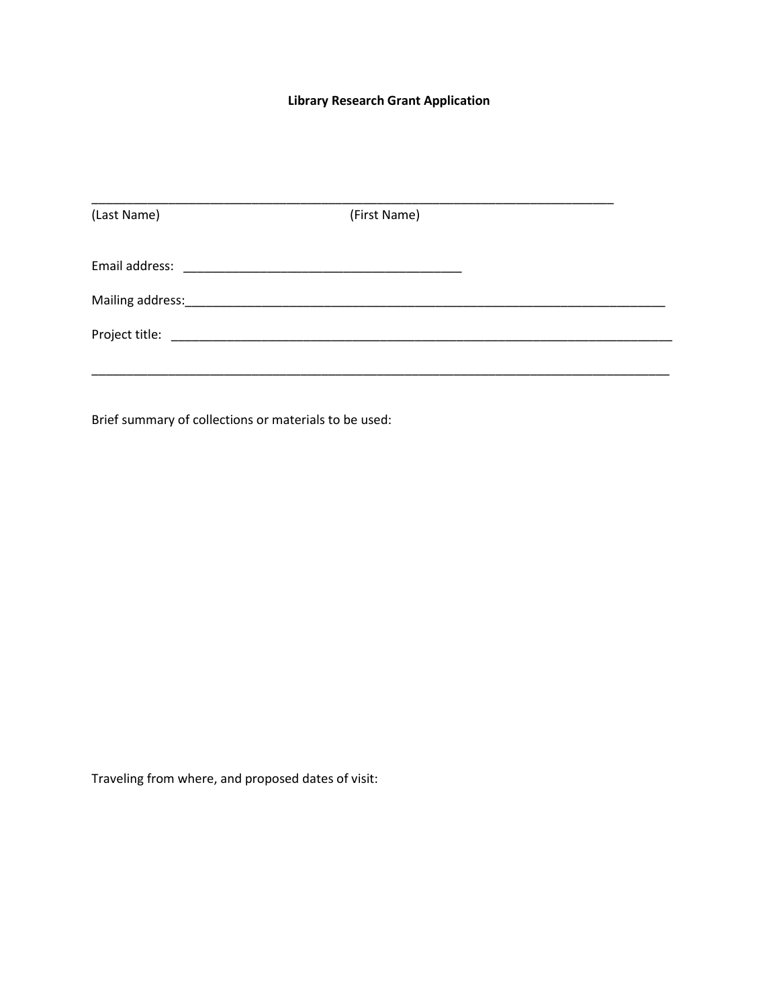# **Library Research Grant Application**

| (Last Name) | (First Name) |  |
|-------------|--------------|--|
|             |              |  |
|             |              |  |
|             |              |  |
|             |              |  |

Brief summary of collections or materials to be used:

Traveling from where, and proposed dates of visit: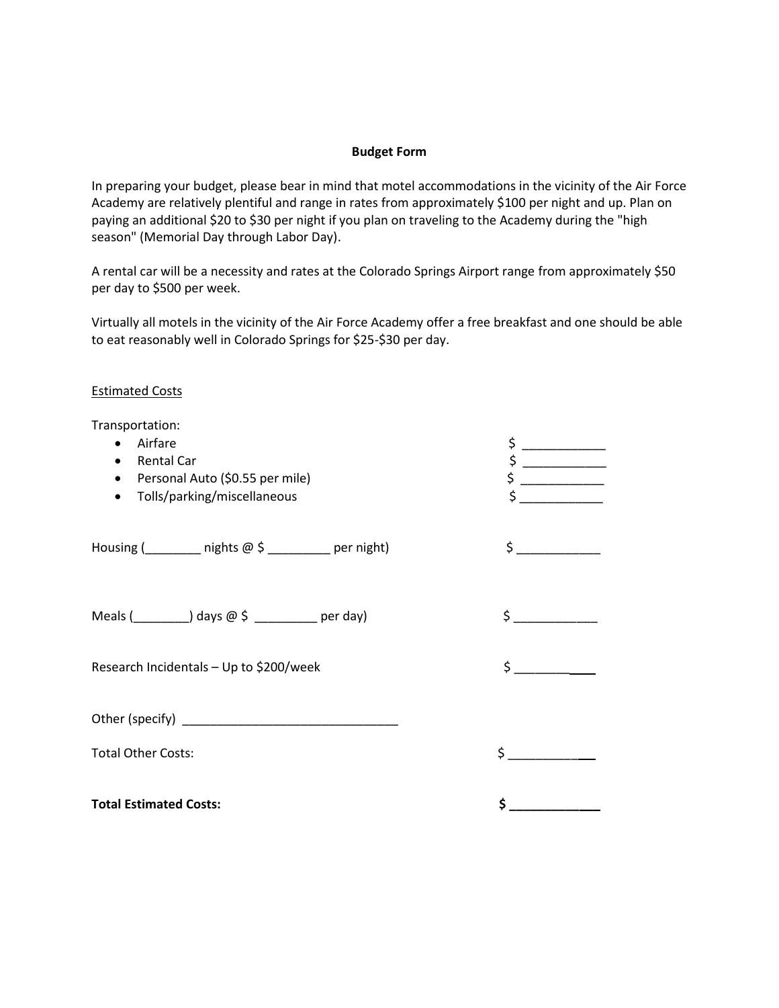#### **Budget Form**

In preparing your budget, please bear in mind that motel accommodations in the vicinity of the Air Force Academy are relatively plentiful and range in rates from approximately \$100 per night and up. Plan on paying an additional \$20 to \$30 per night if you plan on traveling to the Academy during the "high season" (Memorial Day through Labor Day).

A rental car will be a necessity and rates at the Colorado Springs Airport range from approximately \$50 per day to \$500 per week.

Virtually all motels in the vicinity of the Air Force Academy offer a free breakfast and one should be able to eat reasonably well in Colorado Springs for \$25-\$30 per day.

### Estimated Costs

Transportation:

| Airfare                                                          | \$            |
|------------------------------------------------------------------|---------------|
| Rental Car                                                       | $\frac{1}{2}$ |
| Personal Auto (\$0.55 per mile)<br>٠                             | \$            |
| Tolls/parking/miscellaneous<br>$\bullet$                         | \$            |
| Housing $($ _________ nights @ \$ _________ per night)           | $\frac{1}{2}$ |
| Meals $(\_\_\_\_\_)$ days $\emptyset$ \$ $\_\_\_\_\_\_$ per day) | $\frac{1}{2}$ |
| Research Incidentals - Up to \$200/week                          | \$__          |
|                                                                  |               |
| <b>Total Other Costs:</b>                                        | \$            |
| <b>Total Estimated Costs:</b>                                    | \$            |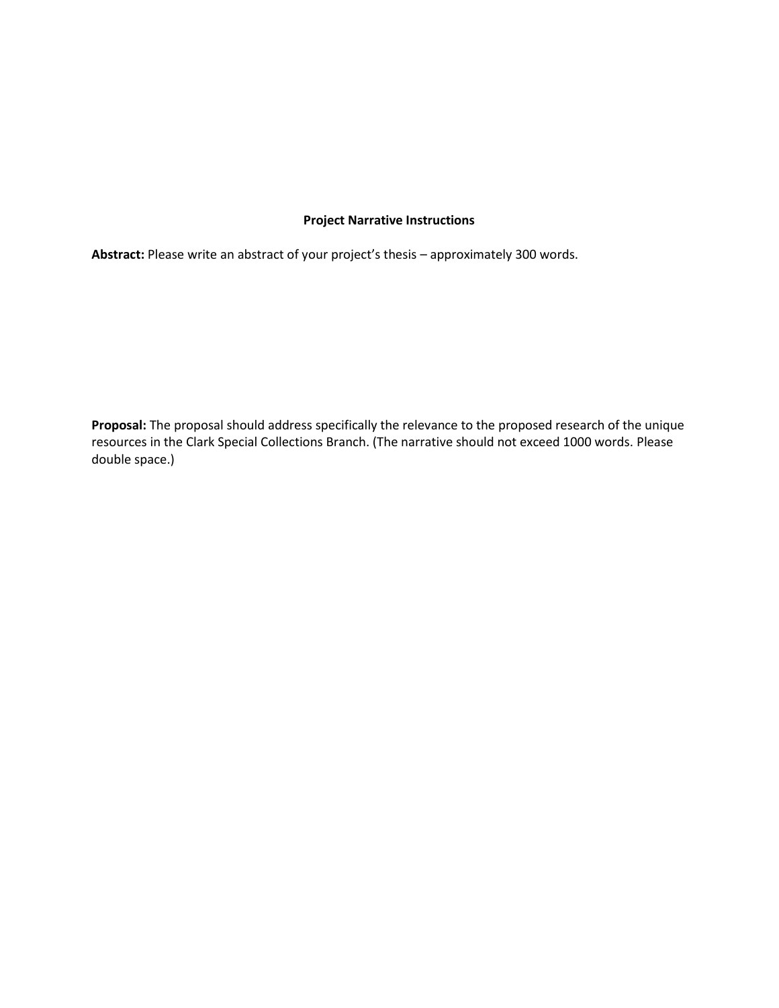## **Project Narrative Instructions**

**Abstract:** Please write an abstract of your project's thesis – approximately 300 words.

**Proposal:** The proposal should address specifically the relevance to the proposed research of the unique resources in the Clark Special Collections Branch. (The narrative should not exceed 1000 words. Please double space.)